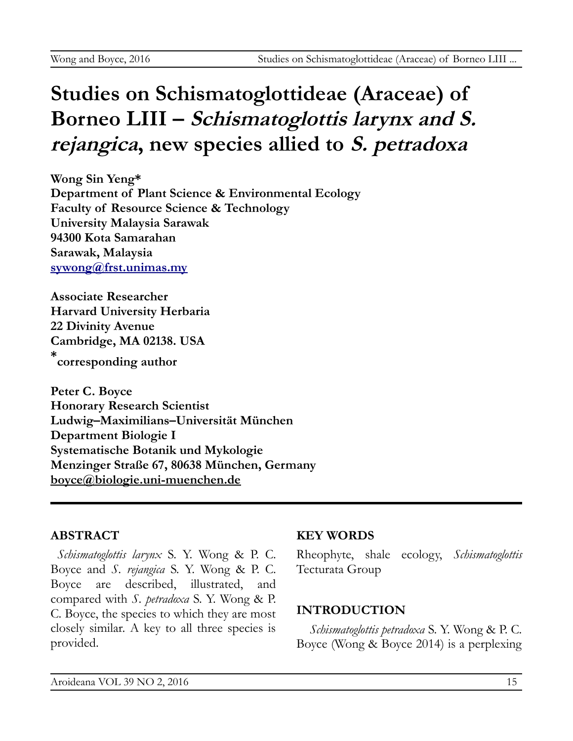# **Studies on Schismatoglottideae (Araceae) of Borneo LIII – Schismatoglottis larynx and S. rejangica, new species allied to S. petradoxa**

**Wong Sin Yeng\* Department of Plant Science & Environmental Ecology Faculty of Resource Science & Technology University Malaysia Sarawak 94300 Kota Samarahan Sarawak, Malaysia [sywong@frst.unimas.my](mailto:sywong@frst.unimas.my)**

**Associate Researcher Harvard University Herbaria 22 Divinity Avenue Cambridge, MA 02138. USA \* corresponding author**

**Peter C. Boyce Honorary Research Scientist Ludwig–Maximilians–Universität München Department Biologie I Systematische Botanik und Mykologie Menzinger Straße 67, 80638 München, Germany [boyce@biologie.uni-muenchen.de](mailto:boyce@biologie.uni-muenchen.de)**

### **ABSTRACT**

*Schismatoglottis larynx* S. Y. Wong & P. C. Boyce and *S. rejangica* S. Y. Wong & P. C. Boyce are described, illustrated, and compared with *S. petradoxa* S. Y. Wong & P. C. Boyce, the species to which they are most closely similar. A key to all three species is provided.

#### **KEY WORDS**

Rheophyte, shale ecology, *Schismatoglottis* Tecturata Group

### **INTRODUCTION**

*Schismatoglottis petradoxa* S. Y. Wong & P. C. Boyce (Wong & Boyce 2014) is a perplexing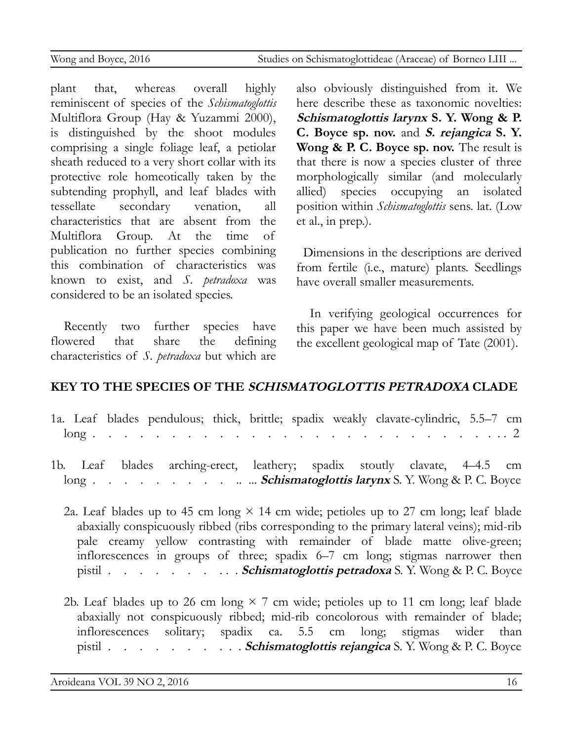plant that, whereas overall highly reminiscent of species of the *Schismatoglottis* Multiflora Group (Hay & Yuzammi 2000), is distinguished by the shoot modules comprising a single foliage leaf, a petiolar sheath reduced to a very short collar with its protective role homeotically taken by the subtending prophyll, and leaf blades with tessellate secondary venation, all characteristics that are absent from the Multiflora Group. At the time of publication no further species combining this combination of characteristics was known to exist, and *S. petradoxa* was considered to be an isolated species.

Recently two further species have flowered that share the defining characteristics of *S. petradoxa* but which are

also obviously distinguished from it. We here describe these as taxonomic novelties: **Schismatoglottis larynx S. Y. Wong & P. C. Boyce sp. nov.** and **S. rejangica S. Y. Wong & P. C. Boyce sp. nov.** The result is that there is now a species cluster of three morphologically similar (and molecularly allied) species occupying an isolated position within *Schismatoglottis* sens. lat. (Low et al., in prep.).

Dimensions in the descriptions are derived from fertile (i.e., mature) plants. Seedlings have overall smaller measurements.

In verifying geological occurrences for this paper we have been much assisted by the excellent geological map of Tate (2001).

### **KEY TO THE SPECIES OF THE SCHISMATOGLOTTIS PETRADOXA CLADE**

| 1a. Leaf blades pendulous; thick, brittle; spadix weakly clavate-cylindric, 5.5–7 cm |  |  |  |  |  |  |  |  |  |  |  |  |
|--------------------------------------------------------------------------------------|--|--|--|--|--|--|--|--|--|--|--|--|
|                                                                                      |  |  |  |  |  |  |  |  |  |  |  |  |
| 1b Loof blodge exchingencet lootheavy exadix stoutly clarate 4.45 cm                 |  |  |  |  |  |  |  |  |  |  |  |  |

1b. Leaf blades arching-erect, leathery; spadix stoutly clavate, 4–4.5 long . . . . . . . . . .. ... **Schismatoglottis larynx** S. Y. Wong & P. C. Boyce

2a. Leaf blades up to 45 cm long  $\times$  14 cm wide; petioles up to 27 cm long; leaf blade abaxially conspicuously ribbed (ribs corresponding to the primary lateral veins); mid-rib pale creamy yellow contrasting with remainder of blade matte olive-green; inflorescences in groups of three; spadix 6–7 cm long; stigmas narrower then pistil . . . . . . . . . . **Schismatoglottis petradoxa** S. Y. Wong & P. C. Boyce

2b. Leaf blades up to 26 cm long  $\times$  7 cm wide; petioles up to 11 cm long; leaf blade abaxially not conspicuously ribbed; mid-rib concolorous with remainder of blade; inflorescences solitary; spadix ca. 5.5 cm long; stigmas wider than pistil . . . . . . . . . . **Schismatoglottis rejangica** S. Y. Wong & P. C. Boyce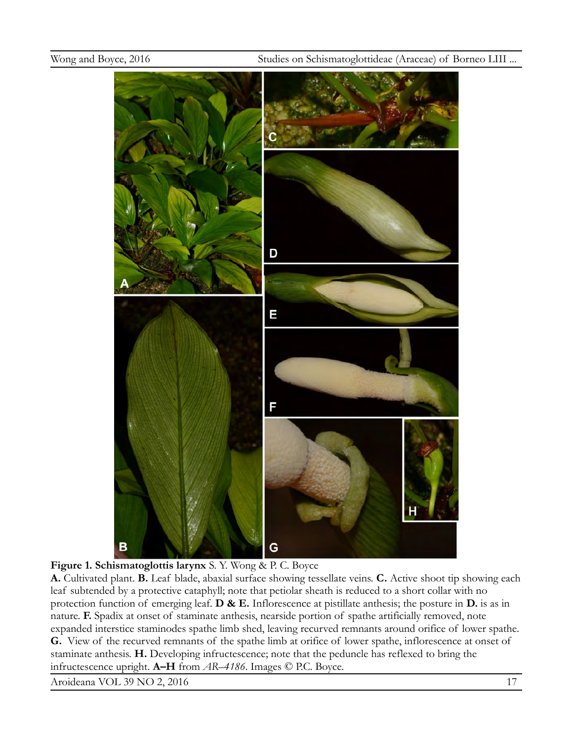



**A.** Cultivated plant. **B.** Leaf blade, abaxial surface showing tessellate veins. **C.** Active shoot tip showing each leaf subtended by a protective cataphyll; note that petiolar sheath is reduced to a short collar with no protection function of emerging leaf. **D & E.** Inflorescence at pistillate anthesis; the posture in **D.** is as in nature. **F.** Spadix at onset of staminate anthesis, nearside portion of spathe artificially removed, note expanded interstice staminodes spathe limb shed, leaving recurved remnants around orifice of lower spathe. **G.** View of the recurved remnants of the spathe limb at orifice of lower spathe, inflorescence at onset of staminate anthesis. **H.** Developing infructescence; note that the peduncle has reflexed to bring the infructescence upright. **A–H** from *AR–4186*. Images © P.C. Boyce.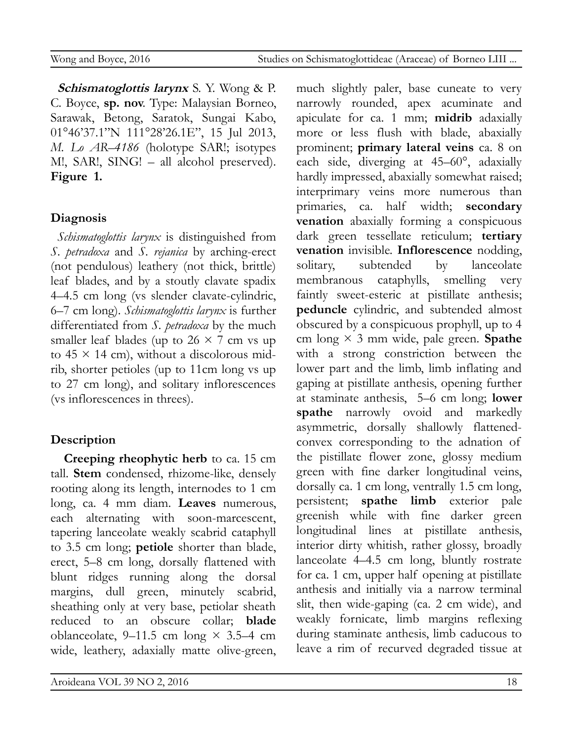**Schismatoglottis larynx** S. Y. Wong & P. C. Boyce, **sp. nov**. Type: Malaysian Borneo, Sarawak, Betong, Saratok, Sungai Kabo, 01°46'37.1"N 111°28'26.1E", 15 Jul 2013, *M. Lo AR–4186* (holotype SAR!; isotypes M!, SAR!, SING! – all alcohol preserved). **Figure 1.**

## **Diagnosis**

*Schismatoglottis larynx* is distinguished from *S. petradoxa* and *S. rejanica* by arching-erect (not pendulous) leathery (not thick, brittle) leaf blades, and by a stoutly clavate spadix 4–4.5 cm long (vs slender clavate-cylindric, 6–7 cm long). *Schismatoglottis larynx* is further differentiated from *S. petradoxa* by the much smaller leaf blades (up to  $26 \times 7$  cm vs up to  $45 \times 14$  cm), without a discolorous midrib, shorter petioles (up to 11cm long vs up to 27 cm long), and solitary inflorescences (vs inflorescences in threes).

## **Description**

**Creeping rheophytic herb** to ca. 15 cm tall. **Stem** condensed, rhizome-like, densely rooting along its length, internodes to 1 cm long, ca. 4 mm diam. **Leaves** numerous, each alternating with soon-marcescent, tapering lanceolate weakly scabrid cataphyll to 3.5 cm long; **petiole** shorter than blade, erect, 5–8 cm long, dorsally flattened with blunt ridges running along the dorsal margins, dull green, minutely scabrid, sheathing only at very base, petiolar sheath reduced to an obscure collar; **blade** oblanceolate, 9–11.5 cm long  $\times$  3.5–4 cm wide, leathery, adaxially matte olive-green, much slightly paler, base cuneate to very narrowly rounded, apex acuminate and apiculate for ca. 1 mm; **midrib** adaxially more or less flush with blade, abaxially prominent; **primary lateral veins** ca. 8 on each side, diverging at 45–60°, adaxially hardly impressed, abaxially somewhat raised; interprimary veins more numerous than primaries, ca. half width; **secondary venation** abaxially forming a conspicuous dark green tessellate reticulum; **tertiary venation** invisible. **Inflorescence** nodding, solitary, subtended by lanceolate membranous cataphylls, smelling very faintly sweet-esteric at pistillate anthesis; **peduncle** cylindric, and subtended almost obscured by a conspicuous prophyll, up to 4 cm long × 3 mm wide, pale green. **Spathe** with a strong constriction between the lower part and the limb, limb inflating and gaping at pistillate anthesis, opening further at staminate anthesis, 5–6 cm long; **lower spathe** narrowly ovoid and markedly asymmetric, dorsally shallowly flattenedconvex corresponding to the adnation of the pistillate flower zone, glossy medium green with fine darker longitudinal veins, dorsally ca. 1 cm long, ventrally 1.5 cm long, persistent; **spathe limb** exterior pale greenish while with fine darker green longitudinal lines at pistillate anthesis, interior dirty whitish, rather glossy, broadly lanceolate 4–4.5 cm long, bluntly rostrate for ca. 1 cm, upper half opening at pistillate anthesis and initially via a narrow terminal slit, then wide-gaping (ca. 2 cm wide), and weakly fornicate, limb margins reflexing during staminate anthesis, limb caducous to leave a rim of recurved degraded tissue at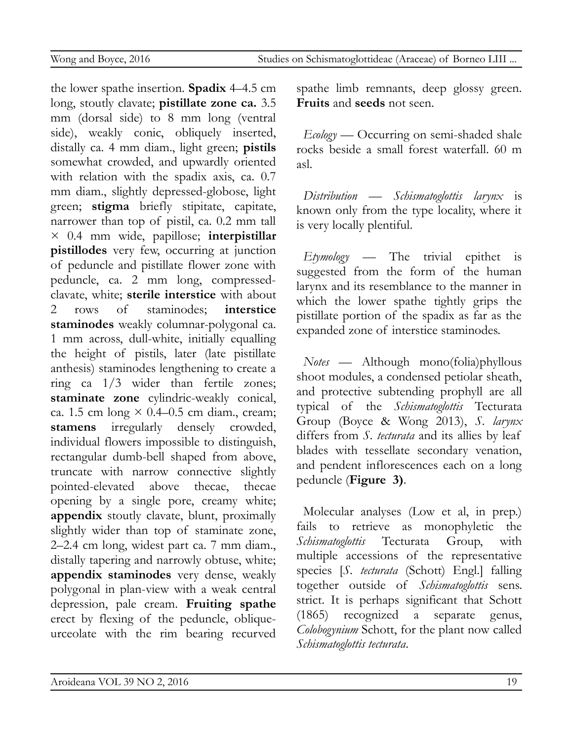the lower spathe insertion. **Spadix** 4–4.5 cm long, stoutly clavate; **pistillate zone ca.** 3.5 mm (dorsal side) to 8 mm long (ventral side), weakly conic, obliquely inserted, distally ca. 4 mm diam., light green; **pistils** somewhat crowded, and upwardly oriented with relation with the spadix axis, ca. 0.7 mm diam., slightly depressed-globose, light green; **stigma** briefly stipitate, capitate, narrower than top of pistil, ca. 0.2 mm tall × 0.4 mm wide, papillose; **interpistillar pistillodes** very few, occurring at junction of peduncle and pistillate flower zone with peduncle, ca. 2 mm long, compressedclavate, white; **sterile interstice** with about 2 rows of staminodes; **interstice staminodes** weakly columnar-polygonal ca. 1 mm across, dull-white, initially equalling the height of pistils, later (late pistillate anthesis) staminodes lengthening to create a ring ca 1/3 wider than fertile zones; **staminate zone** cylindric-weakly conical, ca. 1.5 cm long  $\times$  0.4–0.5 cm diam., cream; **stamens** irregularly densely crowded, individual flowers impossible to distinguish, rectangular dumb-bell shaped from above, truncate with narrow connective slightly pointed-elevated above thecae, thecae opening by a single pore, creamy white; **appendix** stoutly clavate, blunt, proximally slightly wider than top of staminate zone, 2–2.4 cm long, widest part ca. 7 mm diam., distally tapering and narrowly obtuse, white; **appendix staminodes** very dense, weakly polygonal in plan-view with a weak central depression, pale cream. **Fruiting spathe** erect by flexing of the peduncle, obliqueurceolate with the rim bearing recurved spathe limb remnants, deep glossy green. **Fruits** and **seeds** not seen.

*Ecology* — Occurring on semi-shaded shale rocks beside a small forest waterfall. 60 m asl.

*Distribution* — *Schismatoglottis larynx* is known only from the type locality, where it is very locally plentiful.

*Etymology* — The trivial epithet is suggested from the form of the human larynx and its resemblance to the manner in which the lower spathe tightly grips the pistillate portion of the spadix as far as the expanded zone of interstice staminodes.

*Notes* — Although mono(folia)phyllous shoot modules, a condensed petiolar sheath, and protective subtending prophyll are all typical of the *Schismatoglottis* Tecturata Group (Boyce & Wong 2013), *S. larynx* differs from *S. tecturata* and its allies by leaf blades with tessellate secondary venation, and pendent inflorescences each on a long peduncle (**Figure 3)**.

Molecular analyses (Low et al, in prep.) fails to retrieve as monophyletic the *Schismatoglottis* Tecturata Group, with multiple accessions of the representative species [*S. tecturata* (Schott) Engl.] falling together outside of *Schismatoglottis* sens. strict. It is perhaps significant that Schott (1865) recognized a separate genus, *Colobogynium* Schott, for the plant now called *Schismatoglottis tecturata*.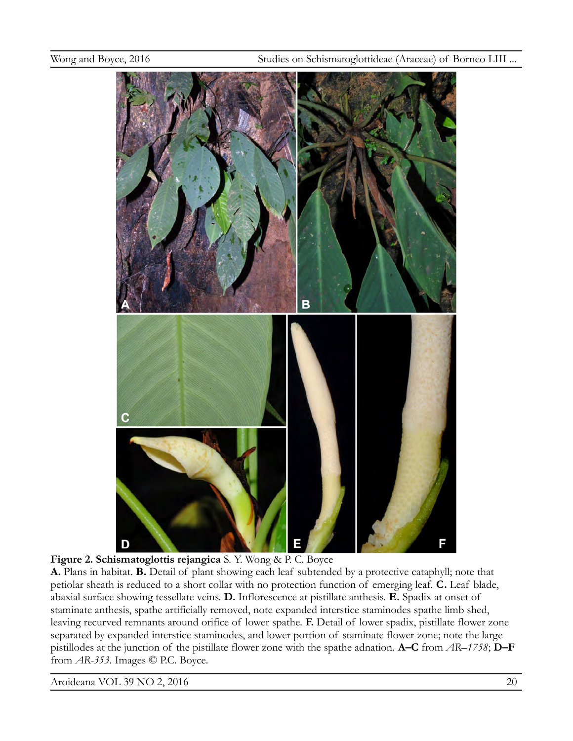



**A.** Plans in habitat. **B.** Detail of plant showing each leaf subtended by a protective cataphyll; note that petiolar sheath is reduced to a short collar with no protection function of emerging leaf. **C.** Leaf blade, abaxial surface showing tessellate veins. **D.** Inflorescence at pistillate anthesis. **E.** Spadix at onset of staminate anthesis, spathe artificially removed, note expanded interstice staminodes spathe limb shed, leaving recurved remnants around orifice of lower spathe. **F.** Detail of lower spadix, pistillate flower zone separated by expanded interstice staminodes, and lower portion of staminate flower zone; note the large pistillodes at the junction of the pistillate flower zone with the spathe adnation. **A–C** from *AR–1758*; **D–F**  from *AR-353*. Images © P.C. Boyce.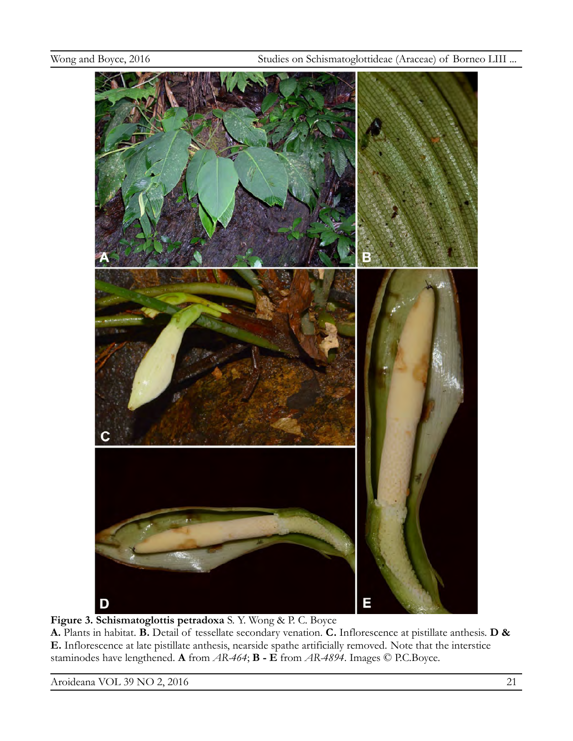

**Figure 3. Schismatoglottis petradoxa** S. Y. Wong & P. C. Boyce

**A.** Plants in habitat. **B.** Detail of tessellate secondary venation. **C.** Inflorescence at pistillate anthesis. **D & E.** Inflorescence at late pistillate anthesis, nearside spathe artificially removed. Note that the interstice staminodes have lengthened. **A** from *AR-464*; **B - E** from *AR-4894*. Images © P.C.Boyce.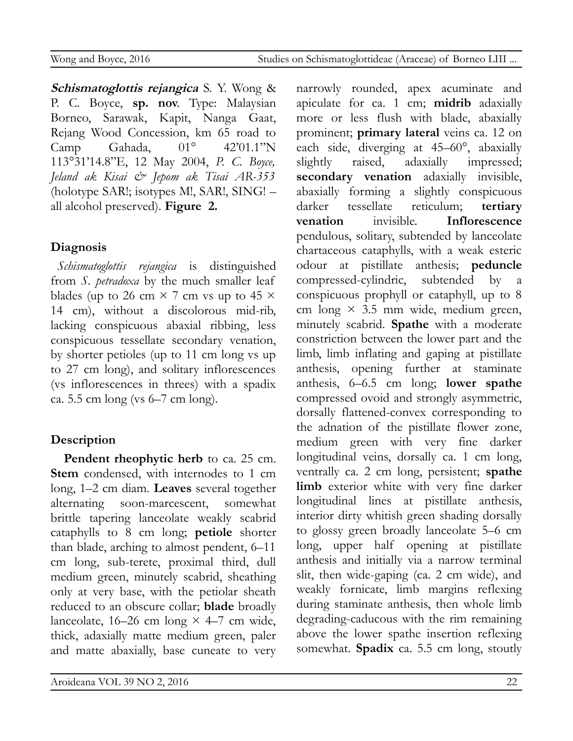**Schismatoglottis rejangica** S. Y. Wong & P. C. Boyce, **sp. nov**. Type: Malaysian Borneo, Sarawak, Kapit, Nanga Gaat, Rejang Wood Concession, km 65 road to Camp Gahada, 01° 42'01.1"N 113°31'14.8"E, 12 May 2004, *P. C. Boyce, Jeland ak Kisai & Jepom ak Tisai AR-353* (holotype SAR!; isotypes M!, SAR!, SING! – all alcohol preserved). **Figure 2.**

## **Diagnosis**

*Schismatoglottis rejangica* is distinguished from *S. petradoxa* by the much smaller leaf blades (up to 26 cm  $\times$  7 cm vs up to 45  $\times$ 14 cm), without a discolorous mid-rib, lacking conspicuous abaxial ribbing, less conspicuous tessellate secondary venation, by shorter petioles (up to 11 cm long vs up to 27 cm long), and solitary inflorescences (vs inflorescences in threes) with a spadix ca. 5.5 cm long (vs 6–7 cm long).

## **Description**

**Pendent rheophytic herb** to ca. 25 cm. **Stem** condensed, with internodes to 1 cm long, 1–2 cm diam. **Leaves** several together alternating soon-marcescent, somewhat brittle tapering lanceolate weakly scabrid cataphylls to 8 cm long; **petiole** shorter than blade, arching to almost pendent, 6–11 cm long, sub-terete, proximal third, dull medium green, minutely scabrid, sheathing only at very base, with the petiolar sheath reduced to an obscure collar; **blade** broadly lanceolate, 16–26 cm long  $\times$  4–7 cm wide, thick, adaxially matte medium green, paler and matte abaxially, base cuneate to very narrowly rounded, apex acuminate and apiculate for ca. 1 cm; **midrib** adaxially more or less flush with blade, abaxially prominent; **primary lateral** veins ca. 12 on each side, diverging at 45–60°, abaxially slightly raised, adaxially impressed; **secondary venation** adaxially invisible, abaxially forming a slightly conspicuous darker tessellate reticulum; **tertiary venation** invisible. **Inflorescence** pendulous, solitary, subtended by lanceolate chartaceous cataphylls, with a weak esteric odour at pistillate anthesis; **peduncle** compressed-cylindric, subtended by a conspicuous prophyll or cataphyll, up to 8 cm long  $\times$  3.5 mm wide, medium green, minutely scabrid. **Spathe** with a moderate constriction between the lower part and the limb, limb inflating and gaping at pistillate anthesis, opening further at staminate anthesis, 6–6.5 cm long; **lower spathe** compressed ovoid and strongly asymmetric, dorsally flattened-convex corresponding to the adnation of the pistillate flower zone, medium green with very fine darker longitudinal veins, dorsally ca. 1 cm long, ventrally ca. 2 cm long, persistent; **spathe limb** exterior white with very fine darker longitudinal lines at pistillate anthesis, interior dirty whitish green shading dorsally to glossy green broadly lanceolate 5–6 cm long, upper half opening at pistillate anthesis and initially via a narrow terminal slit, then wide-gaping (ca. 2 cm wide), and weakly fornicate, limb margins reflexing during staminate anthesis, then whole limb degrading-caducous with the rim remaining above the lower spathe insertion reflexing somewhat. **Spadix** ca. 5.5 cm long, stoutly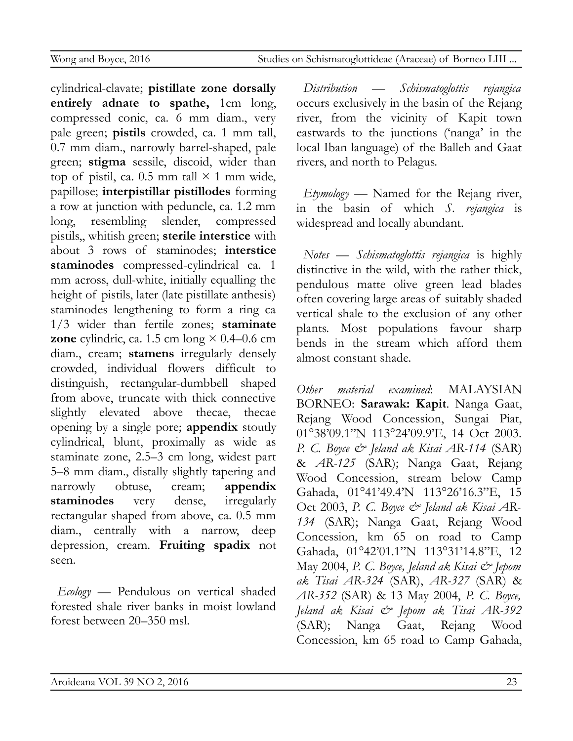Wong and Boyce, 2016 Studies on Schismatoglottideae (Araceae) of Borneo LIII ...

cylindrical-clavate; **pistillate zone dorsally entirely adnate to spathe,** 1cm long, compressed conic, ca. 6 mm diam., very pale green; **pistils** crowded, ca. 1 mm tall, 0.7 mm diam., narrowly barrel-shaped, pale green; **stigma** sessile, discoid, wider than top of pistil, ca. 0.5 mm tall  $\times$  1 mm wide, papillose; **interpistillar pistillodes** forming a row at junction with peduncle, ca. 1.2 mm long, resembling slender, compressed pistils,, whitish green; **sterile interstice** with about 3 rows of staminodes; **interstice staminodes** compressed-cylindrical ca. 1 mm across, dull-white, initially equalling the height of pistils, later (late pistillate anthesis) staminodes lengthening to form a ring ca 1/3 wider than fertile zones; **staminate zone** cylindric, ca. 1.5 cm long  $\times$  0.4–0.6 cm diam., cream; **stamens** irregularly densely crowded, individual flowers difficult to distinguish, rectangular-dumbbell shaped from above, truncate with thick connective slightly elevated above thecae, thecae opening by a single pore; **appendix** stoutly cylindrical, blunt, proximally as wide as staminate zone, 2.5–3 cm long, widest part 5–8 mm diam., distally slightly tapering and narrowly obtuse, cream; **appendix staminodes** very dense, irregularly rectangular shaped from above, ca. 0.5 mm diam., centrally with a narrow, deep depression, cream. **Fruiting spadix** not seen.

*Ecology* — Pendulous on vertical shaded forested shale river banks in moist lowland forest between 20–350 msl.

*Distribution* — *Schismatoglottis rejangica* occurs exclusively in the basin of the Rejang river, from the vicinity of Kapit town eastwards to the junctions ('nanga' in the local Iban language) of the Balleh and Gaat rivers, and north to Pelagus.

*Etymology* — Named for the Rejang river, in the basin of which *S. rejangica* is widespread and locally abundant.

*Notes* — *Schismatoglottis rejangica* is highly distinctive in the wild, with the rather thick, pendulous matte olive green lead blades often covering large areas of suitably shaded vertical shale to the exclusion of any other plants. Most populations favour sharp bends in the stream which afford them almost constant shade.

*Other material examined*: MALAYSIAN BORNEO: **Sarawak: Kapit**. Nanga Gaat, Rejang Wood Concession, Sungai Piat, 01°38'09.1"N 113°24'09.9'E, 14 Oct 2003. *P. C. Boyce & Jeland ak Kisai AR-114* (SAR) & *AR-125* (SAR); Nanga Gaat, Rejang Wood Concession, stream below Camp Gahada, 01°41'49.4'N 113°26'16.3"E, 15 Oct 2003, *P. C. Boyce & Jeland ak Kisai AR-134* (SAR); Nanga Gaat, Rejang Wood Concession, km 65 on road to Camp Gahada, 01°42'01.1"N 113°31'14.8"E, 12 May 2004, *P. C. Boyce, Jeland ak Kisai & Jepom ak Tisai AR-324* (SAR), *AR-327* (SAR) & *AR-352* (SAR) & 13 May 2004, *P. C. Boyce, Jeland ak Kisai & Jepom ak Tisai AR-392* (SAR); Nanga Gaat, Rejang Wood Concession, km 65 road to Camp Gahada,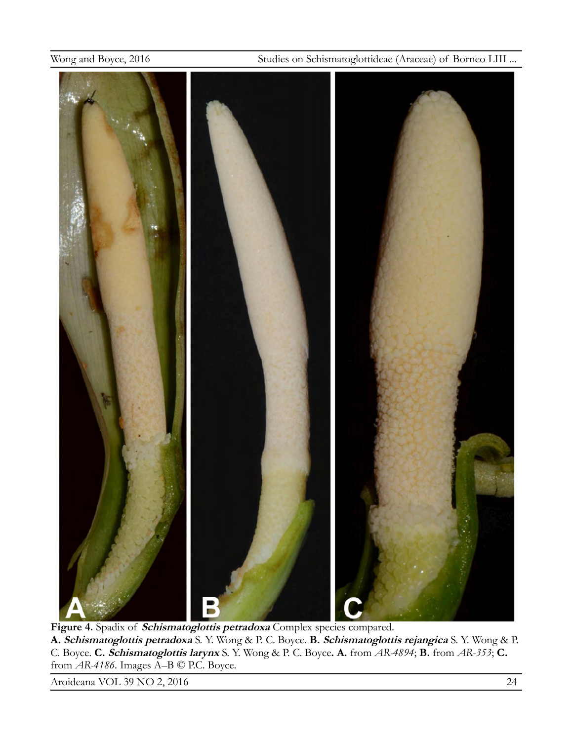

**Figure 4.** Spadix of **Schismatoglottis petradoxa** Complex species compared. **A. Schismatoglottis petradoxa** S. Y. Wong & P. C. Boyce. **B. Schismatoglottis rejangica** S. Y. Wong & P. C. Boyce. **C. Schismatoglottis larynx** S. Y. Wong & P. C. Boyce**. A.** from *AR-4894*; **B.** from *AR-353*; **C.**  from *AR-4186*. Images A–B © P.C. Boyce.